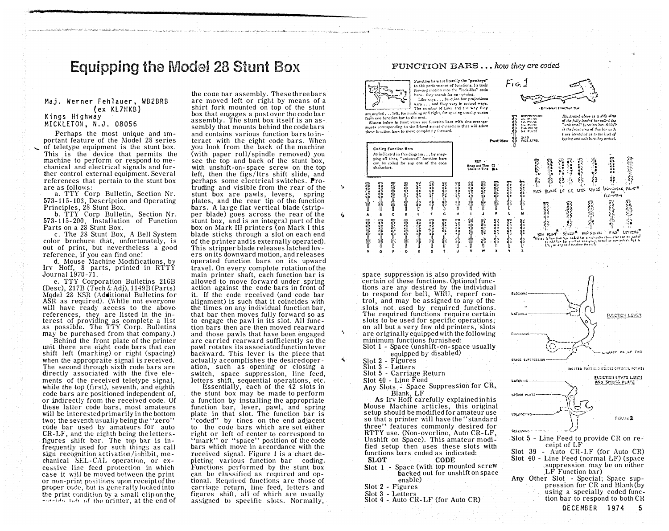# Equipping the Model 28 Stunt Box

#### Maj. Werner Fehlauer, WB2BRB (ex KL7HKB) Kings Highway MICKLETON, N.J. 08056

Perhaps the most unique and Important feature of the Model 28 series of teletype equipment is the stunt box. This is the device that permits the machine to perform or respond to mechanical and electrical signals and further control external equipment. Several references that pertain to the stunt box are as follows:

a. TTY Corp Bulletin, Section Nr. 573-115-103, Description and Operating Principles, 28 Stunt Box.

b. TTY Corp Bulletin, Section Nr. 573-115-200, Installation of Function Parts on a 28 Stunt Box.

c. The 28 Stunt Box, A Bell System color brochure that, unfortunately, is out of print, but nevertheless a good reference, if you can find one!

d. Mouse Machine Modifications, by lrv Hoff, 8 parts, printed in RTTY Journal 1970-71.

e. TTY Corporation Bulletins 21GB (Desc), 217B (Tech & Adj), 1149B (Parts) Mqdel 28 KSR (Additional Bulletins for ASR as required). (While not everyone will have ready access to the above references, they are listed in the interest of providing as complete a list as possible. The TTY Corp. Bulletins may be purchased from that company.)

Behind the front plate of the printer unit there are eight code bars that can shift left (marking) or right (spacing) when the appropraite signal is received. The second through sixth code bars are directly associated with the five elements of the received teletype signal, while the top (first), seventh, and eighth code bars are positioned independent of, or indirectly from the received code. Of these latter code bars, most amateurs will be interested primarily in the bottom two; the seventh usually being the "zero" code bar used bv amateurs for auto  $CR-LF$ , and the eighth being the lettersfigures shift bar. The top bar is infrequently u�ed for such things as call sign recognition activation/inhibit, mechanical SEL-CAL operation, or excessive line feed protection in which case it will be moved between the print or non-print positions upon receipt of the proper code, but is generally locked into the print condition by a small clip on the - ......... Laft of the printer, at the end of the coae nar assembly. These three bars are moved left or right by means of a shirt fork mounted on top of the stunt box that engages a post over the code bar assembly. The stunt box itself is an assembly that mounts behind the code bars and contains various function bars to interact with the eight code bars. When you look from the back of the machine (with paper roll/spindle removed) you see the top and back of the stunt box, with unshift-on- space screw on the top left, then the figs/ltrs shift slide, and perhaps some electrical switches. Protruding and visible from the rear of the stunt box are pawls, levers, spring plates, and the rear tip of the function bars. A large flat vertical blade (stripper blade) goes across the rear of the stunt box, and is an integral part of the box on Mark III printers (on Mark I this blade sticks through a slot on each end of the printer and is externally operated). This stripper blade releases latched levers on its downward motion, and releases operated function bars on its upward travel. On every complete rotation of the main printer shaft, each function bar is allowed to move forward under spring action against the code bars in front of it. If the code received (and code bar alignment) is such that it coincides with the times on any individual function bar, that bar then moves fully forward so as to engage the pawl in its slot. All function bars then are then moved rearward and those pawls that have been engaged are carried rearward sufficiently so the pawl rotates its associated function lever backward. This lever is the piece that actually accomplishes the desired operation, such as opening or closing a switch, space suppression, line feed, letters shift, sequential operations, etc.

...

 $\mathbf{v}$ 

characters.

- 8

Ensura Cor **Branch**<br>Burker Co

**CONTROLLER** 

 $\ddot{\textbf{c}}$ 

**BRANDE** 

Essentially, each of the 12 slots in the stunt box may be made to perform a function by installing the appropriate function bar, lever, pawl, and spring plate in that slot. The function bar is "coded" by tines on the end adjacent to the code bars which are set either right or left of center to correspond to "mark" or "space" position of the code bars which move in accordance with the received signal. Figure 1 is a ehart depicting various function bar coding. Functions performed by the stunt box can be classified as required and optional. Hequired functions are those of carriage return, line feed, letters and figures shift, all of which are usually assigned to specific slots. Normally,

### FUNCTION BARS .•. how they are coded

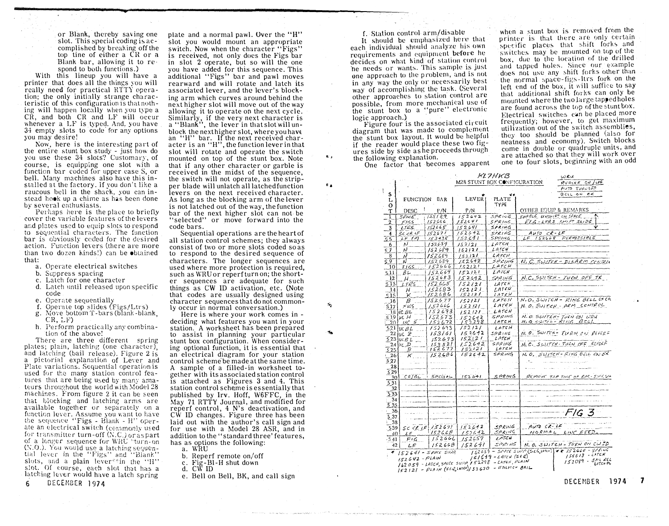or Blank, thereby saving one slot. This special coding is accomplished by breaking off the top tine of either a  $CR$  or a Blank bar, allowing it to respond to both func<sup>t</sup>ions.)

With this lineup you will have a printer that does all the things you will really need for practical HTTY operation; the only initially strange characteristic of this configuration is that nothing will happen locally when you type a CR, and both CR and LF will occur whenever a LF is typed. And. vou have 34 empty slots to code for any options you may desire!

Now, here is the interesting part of the entire stunt box study - just how do you use these 34 slots? Customary, of course, is equipping one slot with a function bar coded for upper case S, or bell. Alany machines also have this' installed at the factory. lf vou don't like <sup>a</sup> raucous bell in the shack, you can instead hook up a chime as has been done by several emhusiasts.

Perhaps here is the place to brieflv <sup>c</sup>over the variable features of the levers and plates used to equip slots to respond to sequential characters. The function bar is obviously coded for the desired action. Function levers (there are more than two dozen kinds!) can be obtained that:

- a. Operate electrical switche<sup>s</sup>
- b. Suppress spacing
- c. Latch for one character
- d. Latch until released upon specific code
- e. Operate sequentially
- f. Operate top slides (Figs/Ltrs)
- g. Move bottom T-bars (blank-blank,  $CR, LF$ )
- h. Perform practically any combination of the above!

There are three different spring plates; plain, latching (one character). and latching (bail release). Figure 2 is a pictorial explanation of Lever and Plate variations. Sequential operation is used for the many station control features that are being used by many amateurs throughout the world with Model 28 machines. From figure 2 it can be seen that bloching and latching arms are available together or separately on a function lever. Assume you want to have<br>the conveyse Wise Winds Wiseum the sequence "Figs - Blank -  $H$ " operate an electrical switch (commonly used for transmitter turn-off (N.C.) or as part of a longer sequence for WRU \*turn-on (N.O.). You would use a latching sequential lever in the "Figs" and "Blank" slots, and a plain lever\*\*in the "H" slot. Of course, each slot that has a latching lever would have a latch spring 6 DECEMBER 1974

plate and a normal pawl. Over the "H" slot you would mount an appropriate switch. Now when the character "Figs" is received, not only does the Figs bar in slot 2 operate, but so will the one you have added for this sequence. This additional "Figs" bar and pawl moves rearward and will rotate and latch its associated lever, and the lever's blocking arm which curves around behind the next higher slot will move out of the way allowing it to operate on the next cycle. Similarly, if the very next character is a "Blank", the lever in that slot will unblock the next higher slot, where you have an "H" bar. If the next received character is an "H", the function lever in that slot will rotate and operate the switch mounted on top of the stunt box. Note that if any other character or garble is received in the midst of the sequence, the switch will not operate, as the stripper blade will unlatch all latchedfunction levers on the next received character. As long as the blocking arm of the lever is not latched out of the way, the function bar of the next higher slot can not be "selected" or move forward into the code bars.

 $^{\circ}$   $^{\circ}$ 

Ś,

٦b

 $\mathbf{c}_1$ 

Sequential operations are the heart of all station control schemes; they always consist of two or more slots coded so as to respond to the desired sequence of characters. The longer sequences are used where more protection is required, such as WRU or reperf turn on; the shorter sequences are adequate for such things as CW lD activation, etc. (Note that codes are usually designed using character sequences that do not commonly occur in normal conversation.)

Here is where your work comes in deciding what features you want in your station. A worksheet has been prepared to assist in planning your particular stunt box configuration. When considering optional function, it is essential that an electrical diagram for your station control scheme be made at the same time. A sample of a filled-in worksheet to gether with its associated station control 1s attached as Figures 3 and 4. This station control scheme is essentially that published by Irv. Hoff, W6FFC, in the May 71 RTTY Journal, and modified for reperf control, 4 N's deactivation, and CW ID changes. Figure three has been laid out with the author's call sign and for use with a Model 28 ASR, and in addition to the "standard three' features, has as options the following:

- a. WRU
- b. Reperf remote on/off
- c. Fig-Bl-H shut down
- d. CW ID
- e. Bell on Bell, BK, and call sign

f. Station control arm/disable

It should be emphasized here that each individual should analyze his own requirements and equipment before h<sup>e</sup> decides on what kind of station control he needs or wants. This sample is just one approach to the p roblern, and is not in any way the only or necessarily best way of accomplishing the task. (Several other approaches to station control are possible, from more mechanical usc of the stunt box to a "pure" electronic logic approach.)

Figure four is the associated circuit diagram that was made to complement the stunt box layout. It would be helpful if the reader would place these two figures side by side as he proceeds through the following explanation.

One factor that becomes apparen<sup>t</sup>

when a stunt box is removed from the printer is that there are only certain specific places that shift forks and switches may be mounted on top of the box, due to the location of the drilled and tapped holes. Since our example does not use any �hift forks other than the normal space-figs-ltrs fork on the left end of the box, it will suffice to say that additional shift forks can only be mounted where the two large tapped holes are found across the top of the stunt box. Electrical switches can be placed more frequently; however, to get maximum utilization out of the <sup>s</sup>witch assemblies, they too should be planned (also for neatness and economy). Switch blocks come in double or quadruple units, and are attached so that they will work over one to four slots, beginning with an odd

 $1.10.1$ 

|                                                                                     |                 |              |                  | M28 STUNT BOX CONFIGURATION |                         | REPERF ON /OFF                                   |  |  |
|-------------------------------------------------------------------------------------|-----------------|--------------|------------------|-----------------------------|-------------------------|--------------------------------------------------|--|--|
|                                                                                     |                 |              |                  |                             |                         | Auto Tufuaff                                     |  |  |
| S                                                                                   |                 |              |                  |                             |                         | B E L L 0<br><b>CK</b>                           |  |  |
| L                                                                                   | <b>FUNCTION</b> | BAR          | <b>LEVER</b>     | <b>PLATE</b>                |                         |                                                  |  |  |
| o                                                                                   |                 |              |                  | TYPE                        |                         |                                                  |  |  |
| т                                                                                   | DESC            | P/N          | P/N              |                             |                         | OTHER EQUIP & REMARKS                            |  |  |
| $\Box$                                                                              | S P C E         | 155129       | 152642           | SPRING                      | ENFELE UNSHIFT ON SPACE |                                                  |  |  |
| $\overline{\mathbf{2}}$                                                             | F/GS            | 152666       | 1.52641          | SPRING                      |                         | $F/G$ -LTRS SHIFT SLIDE                          |  |  |
| 3                                                                                   | LTRS.           | 152665       | 152641           | SPRING                      |                         |                                                  |  |  |
| 4                                                                                   | SCCRLF          | 152671       | 152642           | SPRING                      | AUTO CR-LF              |                                                  |  |  |
| 5.5                                                                                 | LF(P)           | 153435       | 152641           | SPRING                      |                         | LF 152668 PERMISSIBLE                            |  |  |
| 6                                                                                   | N               | 152689       | 152121           | LATCH                       |                         |                                                  |  |  |
| s 7                                                                                 | N               | 152689       | 152121           | LATCH                       |                         |                                                  |  |  |
| 8                                                                                   | N               | 152689       | 152121           | LATCH                       |                         |                                                  |  |  |
| $\overline{59}$                                                                     | N               | 152689       | 152642           | SPRING                      |                         | N.C. SWITCH - DISARM CONTROL                     |  |  |
| 10                                                                                  | FIGS            | 152666       | 152121           | LATCH                       |                         |                                                  |  |  |
| 511                                                                                 | ВL.             | 152669       | 152121           | LATCH                       |                         |                                                  |  |  |
| 12                                                                                  | $\overline{H}$  | 152683       | 152642           | SPRING                      |                         | N.C. SWITCH - TURN OFF TX                        |  |  |
| 513                                                                                 | LTRS            | 152665       | 152121           | LATCH                       |                         |                                                  |  |  |
| 14                                                                                  | H               | 152683       | 152121           | LATCH                       |                         |                                                  |  |  |
| 515                                                                                 | v               | 152686       | 152121           | LATEN                       |                         |                                                  |  |  |
| 16                                                                                  | β               | 152677       | 152121           | LATCH                       |                         | N.O. SWITCH- RING BELL ON CAL                    |  |  |
| S17                                                                                 | F165            | 152666       | 1.52121          | LATCH                       |                         | N. O. SWITCH - ARM CONTROL                       |  |  |
| 18                                                                                  | <b>UCBL</b>     | 152693       | 152121           | LATCH                       |                         |                                                  |  |  |
| \$19                                                                                | UC H            | 152673       | 152642           | SPRING                      |                         | N.O. SWITCH-TURN ON WRU<br>N.O. SWITCH-RING BELL |  |  |
| 20                                                                                  | UCS             | 152672       | 152298           | LATCH                       |                         |                                                  |  |  |
| 521                                                                                 | luc BL          | 152693       | 152121           | LATCH                       |                         | N.O. SWITCH-TURN ON REFERE                       |  |  |
| 22                                                                                  | luc Z           | 153161       | 152642<br>152121 | SPRING<br>LATCH             |                         |                                                  |  |  |
| 24                                                                                  | $523$ uc $B_L$  | 152693       | 152642           | SPRING                      |                         | N.C. SWITCH. TURN OFF REFERF                     |  |  |
| 525                                                                                 | uc.D.<br>B      | 153521       | 152121           | LATCH                       |                         |                                                  |  |  |
| -26                                                                                 | κ               | 152686       | 152642           | SPRING                      |                         | N.O. SWITCH-RING BELL ON BX                      |  |  |
| 527                                                                                 |                 |              |                  |                             |                         |                                                  |  |  |
| 28                                                                                  |                 |              |                  |                             |                         |                                                  |  |  |
| 529                                                                                 |                 |              |                  |                             |                         |                                                  |  |  |
| 30                                                                                  | CPLIBL          | SPECIAL      | 152641           | SPRING                      |                         | REMOVE TOP TINE OF EPR-SUFF.SPA                  |  |  |
| 531                                                                                 |                 |              |                  |                             |                         |                                                  |  |  |
| 32                                                                                  |                 |              |                  |                             |                         |                                                  |  |  |
| S 33                                                                                |                 |              |                  |                             |                         |                                                  |  |  |
| 34                                                                                  |                 |              |                  |                             |                         |                                                  |  |  |
| 5.35                                                                                |                 |              |                  |                             |                         |                                                  |  |  |
| 36                                                                                  |                 |              |                  |                             |                         | FIG 3                                            |  |  |
| 537                                                                                 |                 |              |                  |                             |                         |                                                  |  |  |
| 38                                                                                  |                 |              |                  |                             |                         |                                                  |  |  |
| S39                                                                                 |                 | SCCHIF/52671 | 152642           | SPRING                      | $AUTO$ $CA-LE$          |                                                  |  |  |
| 40                                                                                  | LF              | 152668       | $1526 + 2$       | SPRING                      | NORMAL                  | LINE FEED,                                       |  |  |
| .541                                                                                | FIG             | 152666       | 152659           | LATCH                       |                         |                                                  |  |  |
| 42                                                                                  | LF              | 15266B       | 152641           | SPRING                      |                         | N.O. SWITCH - TURN ON CWID                       |  |  |
| $152659 - 579900550090(566,10164)$ = $872660 - 578140$<br>152641 - SPACE SUPP.      |                 |              |                  |                             |                         |                                                  |  |  |
| $154613 - CATEN$<br>$161649 - LATEH (SEQ)$<br>$152642 - 2141N$                      |                 |              |                  |                             |                         |                                                  |  |  |
| $152089 - 5146$ REL<br>162059 - LATCH, SPACE SWIP 152298 - LATCH, PLAIN<br>LATCH PL |                 |              |                  |                             |                         |                                                  |  |  |
| $152121 -$ PLAIN (SEQ, LATCH)/53670 - UNLATCH CAIL                                  |                 |              |                  |                             |                         |                                                  |  |  |

1-<'L?HKB